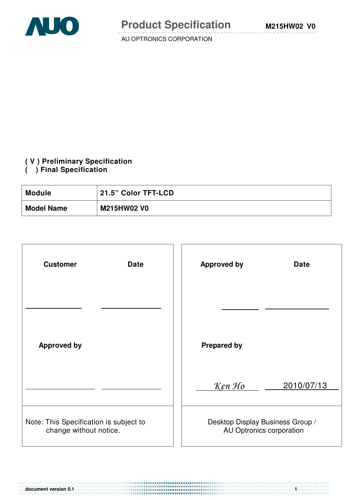

#### **( V ) Preliminary Specification**

#### **( ) Final Specification**

| <b>Module</b>     | 21.5" Color TFT-LCD ' |
|-------------------|-----------------------|
| <b>Model Name</b> | <b>M215HW02 V0</b>    |

| <b>Date</b><br><b>Customer</b>                                   | <b>Approved by</b><br><b>Date</b>                            |
|------------------------------------------------------------------|--------------------------------------------------------------|
|                                                                  |                                                              |
| <b>Approved by</b>                                               | <b>Prepared by</b>                                           |
|                                                                  | 2010/07/13<br>Ken Ho                                         |
| Note: This Specification is subject to<br>change without notice. | Desktop Display Business Group /<br>AU Optronics corporation |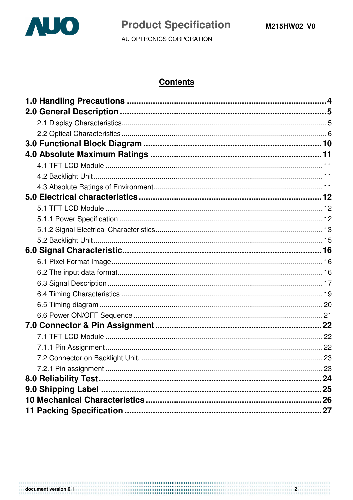

2

AU OPTRONICS CORPORATION

# **Contents**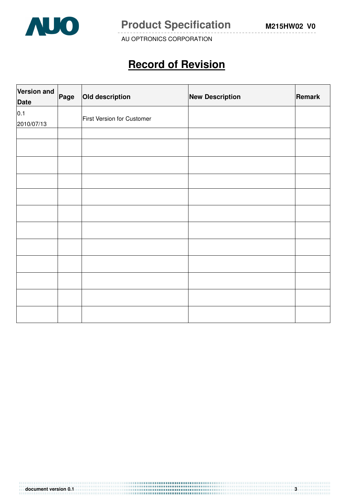

**Product Specification M215HW02 V0** 

AU OPTRONICS CORPORATION

# **Record of Revision**

| <b>Version and</b><br><b>Date</b> | Page | Old description            | <b>New Description</b> | Remark |
|-----------------------------------|------|----------------------------|------------------------|--------|
| 0.1<br>2010/07/13                 |      | First Version for Customer |                        |        |
|                                   |      |                            |                        |        |
|                                   |      |                            |                        |        |
|                                   |      |                            |                        |        |
|                                   |      |                            |                        |        |
|                                   |      |                            |                        |        |
|                                   |      |                            |                        |        |
|                                   |      |                            |                        |        |
|                                   |      |                            |                        |        |
|                                   |      |                            |                        |        |
|                                   |      |                            |                        |        |
|                                   |      |                            |                        |        |
|                                   |      |                            |                        |        |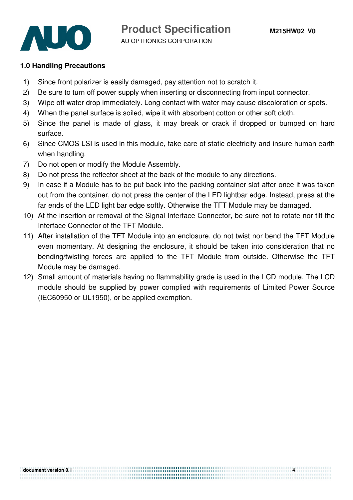

#### **1.0 Handling Precautions**

- 1) Since front polarizer is easily damaged, pay attention not to scratch it.
- 2) Be sure to turn off power supply when inserting or disconnecting from input connector.
- 3) Wipe off water drop immediately. Long contact with water may cause discoloration or spots.
- 4) When the panel surface is soiled, wipe it with absorbent cotton or other soft cloth.
- 5) Since the panel is made of glass, it may break or crack if dropped or bumped on hard surface.
- 6) Since CMOS LSI is used in this module, take care of static electricity and insure human earth when handling.
- 7) Do not open or modify the Module Assembly.
- 8) Do not press the reflector sheet at the back of the module to any directions.
- 9) In case if a Module has to be put back into the packing container slot after once it was taken out from the container, do not press the center of the LED lightbar edge. Instead, press at the far ends of the LED light bar edge softly. Otherwise the TFT Module may be damaged.
- 10) At the insertion or removal of the Signal Interface Connector, be sure not to rotate nor tilt the Interface Connector of the TFT Module.
- 11) After installation of the TFT Module into an enclosure, do not twist nor bend the TFT Module even momentary. At designing the enclosure, it should be taken into consideration that no bending/twisting forces are applied to the TFT Module from outside. Otherwise the TFT Module may be damaged.
- 12) Small amount of materials having no flammability grade is used in the LCD module. The LCD module should be supplied by power complied with requirements of Limited Power Source (IEC60950 or UL1950), or be applied exemption.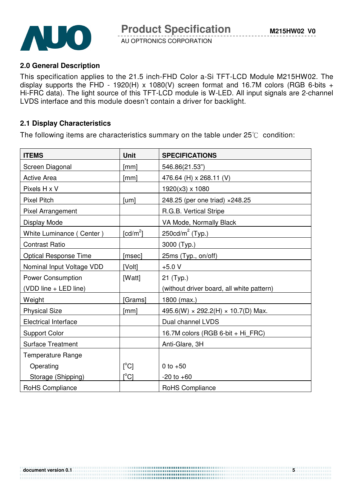

#### **2.0 General Description**

This specification applies to the 21.5 inch-FHD Color a-Si TFT-LCD Module M215HW02. The display supports the FHD - 1920(H) x 1080(V) screen format and 16.7M colors (RGB 6-bits + Hi-FRC data). The light source of this TFT-LCD module is W-LED. All input signals are 2-channel LVDS interface and this module doesn't contain a driver for backlight.

#### **2.1 Display Characteristics**

The following items are characteristics summary on the table under  $25^{\circ}$  condition:

| <b>ITEMS</b>                 | <b>Unit</b>                             | <b>SPECIFICATIONS</b>                            |
|------------------------------|-----------------------------------------|--------------------------------------------------|
| Screen Diagonal              | [mm]                                    | 546.86(21.53")                                   |
| <b>Active Area</b>           | [mm]                                    | 476.64 (H) x 268.11 (V)                          |
| Pixels H x V                 |                                         | 1920(x3) x 1080                                  |
| <b>Pixel Pitch</b>           | [um]                                    | 248.25 (per one triad) ×248.25                   |
| <b>Pixel Arrangement</b>     |                                         | R.G.B. Vertical Stripe                           |
| Display Mode                 |                                         | VA Mode, Normally Black                          |
| White Luminance (Center)     | $\lceil cd/m^2 \rceil$                  | 250cd/ $m^2$ (Typ.)                              |
| <b>Contrast Ratio</b>        |                                         | 3000 (Typ.)                                      |
| <b>Optical Response Time</b> | [msec]                                  | 25ms (Typ., on/off)                              |
| Nominal Input Voltage VDD    | [Volt]                                  | $+5.0 V$                                         |
| <b>Power Consumption</b>     | [Watt]                                  | $21$ (Typ.)                                      |
| (VDD line + LED line)        |                                         | (without driver board, all white pattern)        |
| Weight                       | [Grams]                                 | 1800 (max.)                                      |
| <b>Physical Size</b>         | [mm]                                    | 495.6(W) $\times$ 292.2(H) $\times$ 10.7(D) Max. |
| <b>Electrical Interface</b>  |                                         | Dual channel LVDS                                |
| <b>Support Color</b>         |                                         | 16.7M colors (RGB 6-bit + Hi_FRC)                |
| <b>Surface Treatment</b>     |                                         | Anti-Glare, 3H                                   |
| <b>Temperature Range</b>     |                                         |                                                  |
| Operating                    | $\lceil{^{\circ}C}\rceil$               | 0 to $+50$                                       |
| Storage (Shipping)           | $\mathsf{I}^\circ\mathsf{C} \mathsf{I}$ | $-20$ to $+60$                                   |
| RoHS Compliance              |                                         | RoHS Compliance                                  |

..........................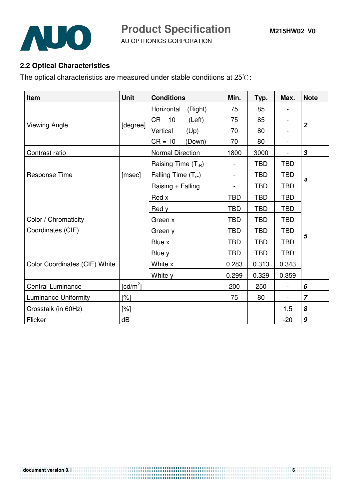

**Product Specification** 

AU OPTRONICS CORPORATION

# **2.2 Optical Characteristics**

The optical characteristics are measured under stable conditions at  $25^{\circ}\text{C}$ :

| Item                          | <b>Unit</b> | <b>Conditions</b>       | Min.                     | Typ.       | Max.                     | <b>Note</b>      |
|-------------------------------|-------------|-------------------------|--------------------------|------------|--------------------------|------------------|
|                               |             | (Right)<br>Horizontal   | 75                       | 85         |                          |                  |
|                               |             | $CR = 10$<br>(Left)     | 75                       | 85         |                          |                  |
| <b>Viewing Angle</b>          | [degree]    | (Up)<br>Vertical        | 70                       | 80         |                          | $\overline{2}$   |
|                               |             | $CR = 10$<br>(Down)     | 70                       | 80         | $\overline{\phantom{a}}$ |                  |
| Contrast ratio                |             | Normal Direction        | 1800                     | 3000       |                          | $\overline{3}$   |
|                               |             | Raising Time $(T_{rR})$ | $\overline{\phantom{a}}$ | <b>TBD</b> | <b>TBD</b>               |                  |
| Response Time                 | [msec]      | Falling Time $(T_{rF})$ |                          | <b>TBD</b> | <b>TBD</b>               |                  |
|                               |             | Raising + Falling       | $\overline{\phantom{0}}$ | <b>TBD</b> | <b>TBD</b>               | $\boldsymbol{4}$ |
|                               |             | Red x                   | <b>TBD</b>               | <b>TBD</b> | <b>TBD</b>               |                  |
|                               |             | Red y                   | <b>TBD</b>               | <b>TBD</b> | <b>TBD</b>               |                  |
| Color / Chromaticity          |             | Green x                 | <b>TBD</b>               | <b>TBD</b> | <b>TBD</b>               |                  |
| Coordinates (CIE)             |             | Green y                 | <b>TBD</b>               | <b>TBD</b> | <b>TBD</b>               |                  |
|                               |             | Blue x                  | <b>TBD</b>               | <b>TBD</b> | <b>TBD</b>               | 5                |
|                               |             | Blue y                  | <b>TBD</b>               | <b>TBD</b> | <b>TBD</b>               |                  |
| Color Coordinates (CIE) White |             | White x                 | 0.283                    | 0.313      | 0.343                    |                  |
|                               |             | White y                 | 0.299                    | 0.329      | 0.359                    |                  |
| <b>Central Luminance</b>      | [ $cd/m2$ ] |                         | 200                      | 250        | $\overline{a}$           | 6                |
| <b>Luminance Uniformity</b>   | [%]         |                         | 75                       | 80         | $\blacksquare$           | $\overline{7}$   |
| Crosstalk (in 60Hz)           | [%]         |                         |                          |            | 1.5                      | 8                |
| Flicker                       | dB          |                         |                          |            | $-20$                    | 9                |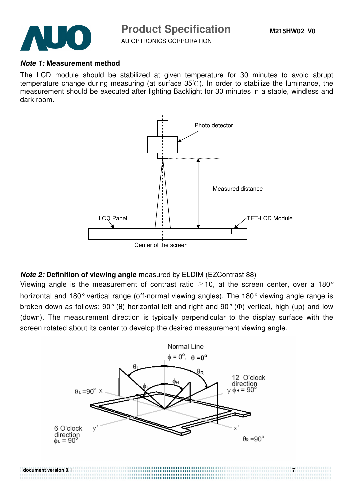

#### **Note 1: Measurement method**

The LCD module should be stabilized at given temperature for 30 minutes to avoid abrupt temperature change during measuring (at surface  $35^{\circ}$ ). In order to stabilize the luminance, the measurement should be executed after lighting Backlight for 30 minutes in a stable, windless and dark room.



#### **Note 2: Definition of viewing angle** measured by ELDIM (EZContrast 88)

Viewing angle is the measurement of contrast ratio  $\geq$  10, at the screen center, over a 180° horizontal and 180° vertical range (off-normal viewing angles). The 180° viewing angle range is broken down as follows; 90° (θ) horizontal left and right and 90° (Φ) vertical, high (up) and low (down). The measurement direction is typically perpendicular to the display surface with the screen rotated about its center to develop the desired measurement viewing angle.

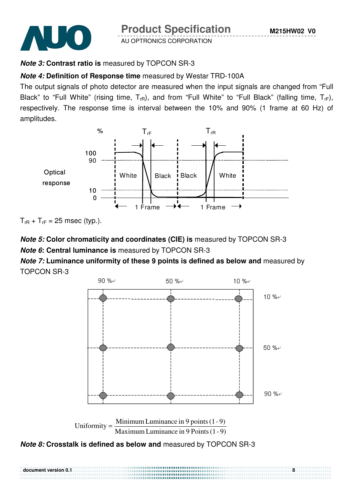

**Product Specification** 

AU OPTRONICS CORPORATION

# **Note 3: Contrast ratio is** measured by TOPCON SR-3

# **Note 4: Definition of Response time** measured by Westar TRD-100A

The output signals of photo detector are measured when the input signals are changed from "Full Black" to "Full White" (rising time,  $T_{rR}$ ), and from "Full White" to "Full Black" (falling time,  $T_{rF}$ ), respectively. The response time is interval between the 10% and 90% (1 frame at 60 Hz) of amplitudes.



 $T_{rR} + T_{rF} = 25$  msec (typ.).

# **Note 5: Color chromaticity and coordinates (CIE) is** measured by TOPCON SR-3 **Note 6: Central luminance is** measured by TOPCON SR-3

**Note 7: Luminance uniformity of these 9 points is defined as below and** measured by TOPCON SR-3



# **Note 8: Crosstalk is defined as below and** measured by TOPCON SR-3

| document version 0.1 |  |
|----------------------|--|
|                      |  |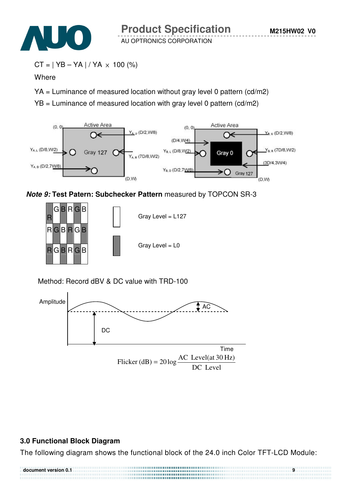

 $CT = | YB - YA | / YA \times 100 (%)$ 

**Where** 

YA = Luminance of measured location without gray level 0 pattern (cd/m2)

YB = Luminance of measured location with gray level 0 pattern (cd/m2)







Method: Record dBV & DC value with TRD-100



# **3.0 Functional Block Diagram**

The following diagram shows the functional block of the 24.0 inch Color TFT-LCD Module:

| document version 0.1 |  |
|----------------------|--|
|                      |  |
|                      |  |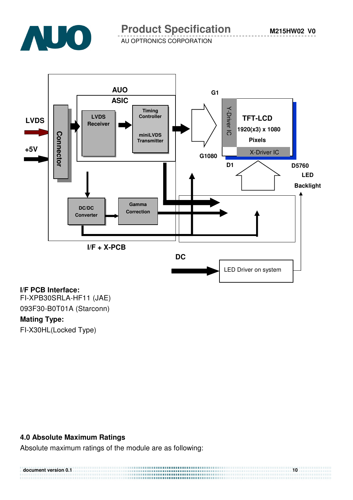



093F30-B0T01A (Starconn)

### **Mating Type:**

FI-X30HL(Locked Type)

### **4.0 Absolute Maximum Ratings**

Absolute maximum ratings of the module are as following:

| document version 0.1 | 10 |
|----------------------|----|
|                      |    |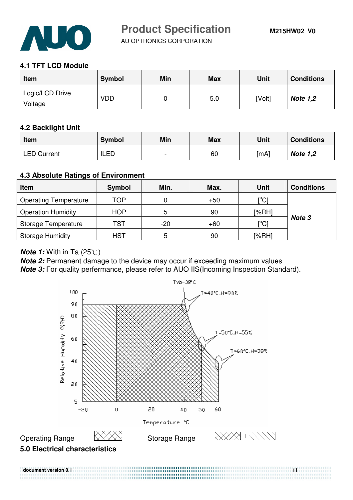

## **4.1 TFT LCD Module**

| Item                       | Symbol     | Min | <b>Max</b> | Unit   | <b>Conditions</b> |
|----------------------------|------------|-----|------------|--------|-------------------|
| Logic/LCD Drive<br>Voltage | <b>VDD</b> |     | 5.0        | [Volt] | <b>Note 1,2</b>   |

#### **4.2 Backlight Unit**

| Item               | Symbol | Min                      | <b>Max</b> | Unit | <b>Conditions</b> |
|--------------------|--------|--------------------------|------------|------|-------------------|
| <b>LED Current</b> | ILED   | $\overline{\phantom{0}}$ | 60         | [mA] | <b>Note 1,2</b>   |

### **4.3 Absolute Ratings of Environment**

| <b>Item</b>                  | Symbol     | Min.  | Max.  | Unit                         | <b>Conditions</b> |
|------------------------------|------------|-------|-------|------------------------------|-------------------|
| <b>Operating Temperature</b> | TOP        | 0     | +50   | $\mathsf{I}^\circ\mathsf{C}$ |                   |
| <b>Operation Humidity</b>    | <b>HOP</b> | 5     | 90    | [%RH]                        |                   |
| Storage Temperature          | TST        | $-20$ | $+60$ | $\lceil{^{\circ}C}\rceil$    | Note 3            |
| <b>Storage Humidity</b>      | <b>HST</b> | 5     | 90    | [%RH]                        |                   |

### **Note 1:** With in Ta (25°C)

**Note 2:** Permanent damage to the device may occur if exceeding maximum values **Note 3:** For quality perfermance, please refer to AUO IIS(Incoming Inspection Standard).

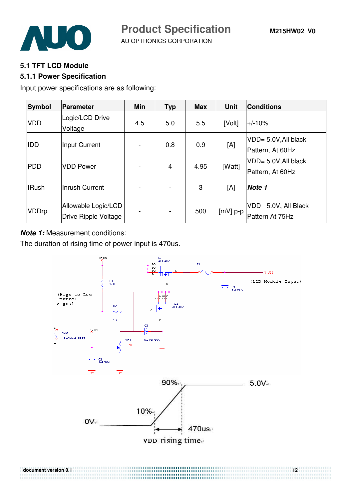

**M215HW02 V0**

#### **5.1 TFT LCD Module**

#### **5.1.1 Power Specification**

Input power specifications are as following:

| <b>Symbol</b> | Parameter                                   | Min                      | <b>Typ</b>              | <b>Max</b> | <b>Unit</b> | <b>Conditions</b>                        |
|---------------|---------------------------------------------|--------------------------|-------------------------|------------|-------------|------------------------------------------|
| <b>VDD</b>    | Logic/LCD Drive<br>Voltage                  | 4.5                      | 5.0                     | 5.5        | [Volt]      | $+/-10%$                                 |
| IIDD          | Input Current                               | $\blacksquare$           | 0.8                     | 0.9        | [A]         | VDD= 5.0V, All black<br>Pattern, At 60Hz |
| PDD           | <b>VDD Power</b>                            | $\overline{\phantom{a}}$ | $\overline{\mathbf{4}}$ | 4.95       | [Watt]      | VDD= 5.0V, All black<br>Pattern, At 60Hz |
| <b>IRush</b>  | Inrush Current                              | $\overline{\phantom{a}}$ |                         | 3          | [A]         | Note 1                                   |
| VDDrp         | Allowable Logic/LCD<br>Drive Ripple Voltage | $\blacksquare$           |                         | 500        | $[mV]$ p-p  | VDD= 5.0V, All Black<br>Pattern At 75Hz  |

### **Note 1:** Measurement conditions:

The duration of rising time of power input is 470us.



................................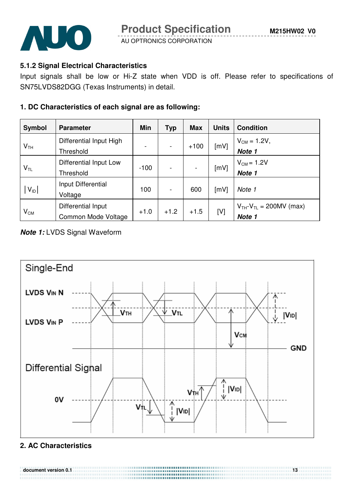

## **5.1.2 Signal Electrical Characteristics**

Input signals shall be low or Hi-Z state when VDD is off. Please refer to specifications of SN75LVDS82DGG (Texas Instruments) in detail.

## **1. DC Characteristics of each signal are as following:**

| Symbol          | <b>Parameter</b>                          | Min                      | Typ    | <b>Max</b> | <b>Units</b> | <b>Condition</b>                            |
|-----------------|-------------------------------------------|--------------------------|--------|------------|--------------|---------------------------------------------|
| V <sub>TH</sub> | Differential Input High<br>Threshold      | $\overline{\phantom{0}}$ |        | $+100$     | [mV]         | $V_{CM} = 1.2V,$<br>Note 1                  |
| $V_{TL}$        | Differential Input Low<br>Threshold       | $-100$                   |        |            | [mV]         | $V_{CM}$ = 1.2V<br>Note 1                   |
| $ V_{ID} $      | Input Differential<br>Voltage             | 100                      |        | 600        | [mV]         | Note 1                                      |
| $V_{CM}$        | Differential Input<br>Common Mode Voltage | $+1.0$                   | $+1.2$ | $+1.5$     | [V]          | $V_{TH}$ - $V_{TL}$ = 200MV (max)<br>Note 1 |

## **Note 1:** LVDS Signal Waveform



### **2. AC Characteristics**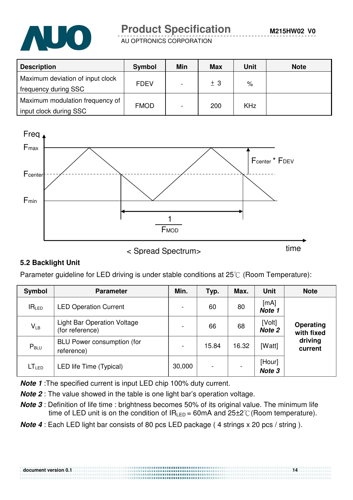![](_page_13_Picture_0.jpeg)

# **Product Specification**

AU OPTRONICS CORPORATION

| <b>Description</b>                                        | Symbol      | Min | <b>Max</b> | <b>Unit</b>          | <b>Note</b> |
|-----------------------------------------------------------|-------------|-----|------------|----------------------|-------------|
| Maximum deviation of input clock<br>frequency during SSC  | <b>FDEV</b> |     | ± 3        | $\frac{1}{\sqrt{2}}$ |             |
| Maximum modulation frequency of<br>input clock during SSC | <b>FMOD</b> |     | 200        | <b>KHz</b>           |             |

![](_page_13_Figure_5.jpeg)

< Spread Spectrum> time

# **5.2 Backlight Unit**

Parameter guideline for LED driving is under stable conditions at  $25^{\circ}$  (Room Temperature):

| Symbol                     | <b>Parameter</b>                                      | Min.                     | Typ.           | Max.  | <b>Unit</b>                 | <b>Note</b>                    |
|----------------------------|-------------------------------------------------------|--------------------------|----------------|-------|-----------------------------|--------------------------------|
| IR <sub>LED</sub>          | <b>LED Operation Current</b>                          | $\overline{\phantom{0}}$ | 60             | 80    | [mA]<br>Note 1              |                                |
| $\mathsf{V}_{\mathsf{LB}}$ | <b>Light Bar Operation Voltage</b><br>(for reference) |                          | 66             | 68    | [Volt]<br>Note 2            | <b>Operating</b><br>with fixed |
| $P_{\text{BLU}}$           | <b>BLU Power consumption (for</b><br>reference)       |                          | 15.84          | 16.32 | [Watt]                      | driving<br>current             |
| LT <sub>LED</sub>          | LED life Time (Typical)                               | 30,000                   | $\overline{a}$ |       | [Hour]<br>Note <sub>3</sub> |                                |

**Note 1** :The specified current is input LED chip 100% duty current.

- **Note 2** : The value showed in the table is one light bar's operation voltage.
- **Note 3** : Definition of life time : brightness becomes 50% of its original value. The minimum life time of LED unit is on the condition of  $IR_{LED} = 60mA$  and  $25\pm2\degree$  (Room temperature).
- **Note 4** : Each LED light bar consists of 80 pcs LED package ( 4 strings x 20 pcs / string ).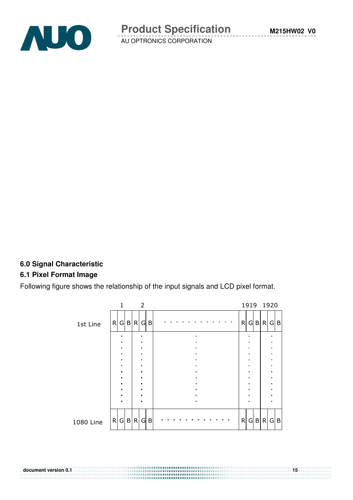![](_page_14_Picture_0.jpeg)

# **6.0 Signal Characteristic**

## **6.1 Pixel Format Image**

Following figure shows the relationship of the input signals and LCD pixel format.

![](_page_14_Figure_7.jpeg)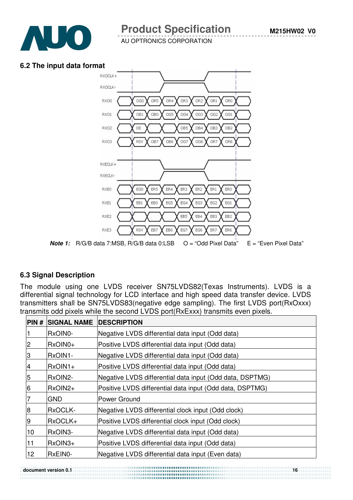![](_page_15_Picture_0.jpeg)

**M215HW02 V0**

AU OPTRONICS CORPORATION

#### **6.2 The input data format**

![](_page_15_Figure_5.jpeg)

**Note 1:** R/G/B data 7:MSB, R/G/B data 0:LSBO = "Odd Pixel Data" E = "Even Pixel Data"

### **6.3 Signal Description**

The module using one LVDS receiver SN75LVDS82(Texas Instruments). LVDS is a differential signal technology for LCD interface and high speed data transfer device. LVDS transmitters shall be SN75LVDS83(negative edge sampling). The first LVDS port(RxOxxx) transmits odd pixels while the second LVDS port(RxExxx) transmits even pixels.

| PIN#           | <b>SIGNAL NAME</b> | <b>DESCRIPTION</b>                                       |
|----------------|--------------------|----------------------------------------------------------|
|                | RxOIN0-            | Negative LVDS differential data input (Odd data)         |
| $\overline{c}$ | RxOIN0+            | Positive LVDS differential data input (Odd data)         |
| 3              | RxOIN1-            | Negative LVDS differential data input (Odd data)         |
| 4              | $RxOIN1+$          | Positive LVDS differential data input (Odd data)         |
| 5              | RxOIN2-            | Negative LVDS differential data input (Odd data, DSPTMG) |
| 6              | RxOIN2+            | Positive LVDS differential data input (Odd data, DSPTMG) |
| 7              | <b>GND</b>         | Power Ground                                             |
| $\overline{8}$ | RxOCLK-            | Negative LVDS differential clock input (Odd clock)       |
| $\overline{9}$ | RxOCLK+            | Positive LVDS differential clock input (Odd clock)       |
| 10             | RxOIN3-            | Negative LVDS differential data input (Odd data)         |
| 11             | RxOIN3+            | Positive LVDS differential data input (Odd data)         |
| 12             | RxEIN0-            | Negative LVDS differential data input (Even data)        |

**document version 0.1 16**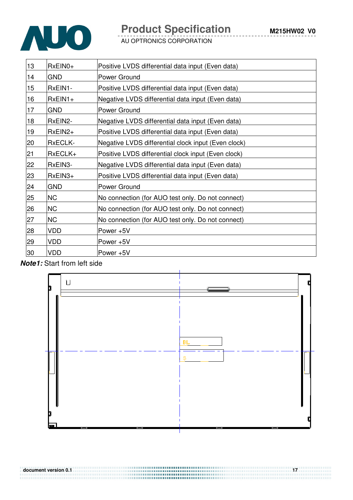![](_page_16_Picture_0.jpeg)

# **Product Specification** M215HW02 V0

AU OPTRONICS CORPORATION

| 13 | $RxEINO+$  | Positive LVDS differential data input (Even data)   |
|----|------------|-----------------------------------------------------|
| 14 | GND        | Power Ground                                        |
| 15 | RxEIN1-    | Positive LVDS differential data input (Even data)   |
| 16 | $RxEIN1+$  | Negative LVDS differential data input (Even data)   |
| 17 | GND        | Power Ground                                        |
| 18 | RxEIN2-    | Negative LVDS differential data input (Even data)   |
| 19 | $RxEIN2+$  | Positive LVDS differential data input (Even data)   |
| 20 | RxECLK-    | Negative LVDS differential clock input (Even clock) |
| 21 | RxECLK+    | Positive LVDS differential clock input (Even clock) |
| 22 | RxEIN3-    | Negative LVDS differential data input (Even data)   |
| 23 | RxEIN3+    | Positive LVDS differential data input (Even data)   |
| 24 | <b>GND</b> | Power Ground                                        |
| 25 | <b>NC</b>  | No connection (for AUO test only. Do not connect)   |
| 26 | <b>NC</b>  | No connection (for AUO test only. Do not connect)   |
| 27 | <b>NC</b>  | No connection (for AUO test only. Do not connect)   |
| 28 | VDD        | Power +5V                                           |
| 29 | VDD        | Power+5V                                            |
| 30 | VDD        | Power +5V                                           |

**Note1:** Start from left side

![](_page_16_Figure_6.jpeg)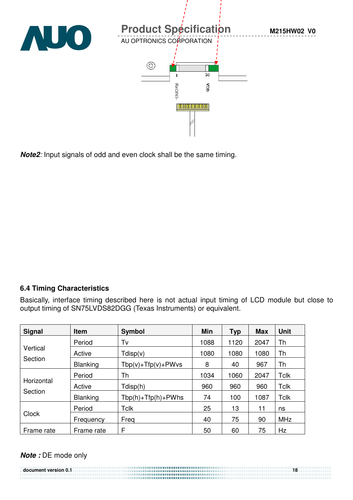![](_page_17_Picture_0.jpeg)

**Note2**: Input signals of odd and even clock shall be the same timing.

### **6.4 Timing Characteristics**

Basically, interface timing described here is not actual input timing of LCD module but close to output timing of SN75LVDS82DGG (Texas Instruments) or equivalent.

| <b>Signal</b> | <b>Item</b>     | Symbol                   | <b>Min</b> | <b>Typ</b> | <b>Max</b> | <b>Unit</b> |
|---------------|-----------------|--------------------------|------------|------------|------------|-------------|
|               | Period          | Tv                       | 1088       | 1120       | 2047       | Th          |
| Vertical      | Active          | Tdisp(v)                 | 1080       | 1080       | 1080       | Th          |
| Section       | <b>Blanking</b> | $Tbp(v) + Tfp(v) + PWvs$ | 8          | 40         | 967        | Th          |
|               | Period          | Th                       | 1034       | 1060       | 2047       | <b>Tclk</b> |
| Horizontal    | Active          | Tdisp(h)                 | 960        | 960        | 960        | <b>Tclk</b> |
| Section       | <b>Blanking</b> | $Tbp(h) + Tfp(h) + PWhs$ | 74         | 100        | 1087       | <b>Tclk</b> |
|               | Period          | <b>Tclk</b>              | 25         | 13         | 11         | ns          |
| <b>Clock</b>  | Frequency       | Freq                     | 40         | 75         | 90         | <b>MHz</b>  |
| Frame rate    | Frame rate      | F                        | 50         | 60         | 75         | Hz          |

**document version 0.1 18** 

### **Note :** DE mode only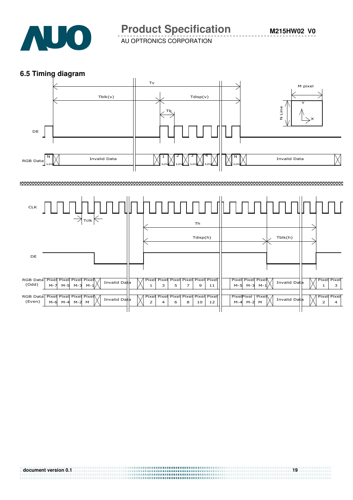![](_page_18_Picture_0.jpeg)

## **6.5 Timing diagram**

![](_page_18_Figure_5.jpeg)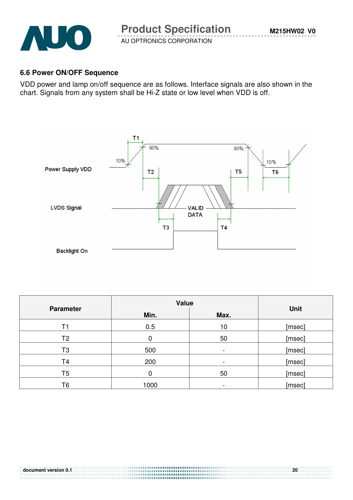![](_page_19_Picture_0.jpeg)

### **6.6 Power ON/OFF Sequence**

VDD power and lamp on/off sequence are as follows. Interface signals are also shown in the chart. Signals from any system shall be Hi-Z state or low level when VDD is off.

![](_page_19_Figure_6.jpeg)

|                  | <b>Value</b> |                          |        |  |
|------------------|--------------|--------------------------|--------|--|
| <b>Parameter</b> | Min.         | Max.                     | Unit   |  |
| Τ1               | 0.5          | 10                       | [msec] |  |
| T2               | 0            | 50                       | [msec] |  |
| T3               | 500          | ۰                        | [msec] |  |
| T <sub>4</sub>   | 200          | $\overline{\phantom{0}}$ | [msec] |  |
| T <sub>5</sub>   |              | 50                       | [msec] |  |
| T6               | 1000         | $\overline{\phantom{0}}$ | [msec] |  |

........................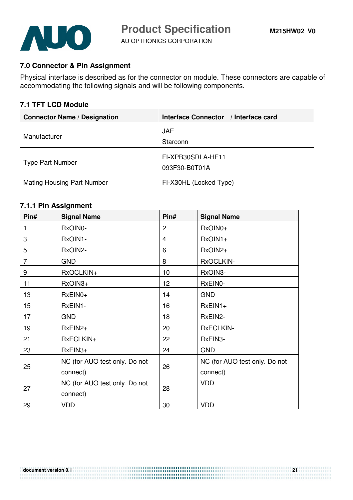![](_page_20_Picture_0.jpeg)

## **7.0 Connector & Pin Assignment**

Physical interface is described as for the connector on module. These connectors are capable of accommodating the following signals and will be following components.

#### **7.1 TFT LCD Module**

| <b>Connector Name / Designation</b> | Interface Connector / Interface card |
|-------------------------------------|--------------------------------------|
| Manufacturer                        | <b>JAE</b><br>Starconn               |
| <b>Type Part Number</b>             | FI-XPB30SRLA-HF11<br>093F30-B0T01A   |
| <b>Mating Housing Part Number</b>   | FI-X30HL (Locked Type)               |

# **7.1.1 Pin Assignment**

| Pin# | <b>Signal Name</b>                        | Pin#           | <b>Signal Name</b>                        |
|------|-------------------------------------------|----------------|-------------------------------------------|
|      | RxOIN0-                                   | $\overline{2}$ | RxOIN0+                                   |
| 3    | RxOIN1-                                   | 4              | RxOIN1+                                   |
| 5    | RxOIN2-                                   | 6              | RxOIN2+                                   |
| 7    | <b>GND</b>                                | 8              | RxOCLKIN-                                 |
| 9    | RxOCLKIN+                                 | 10             | RxOIN3-                                   |
| 11   | RxOIN3+                                   | 12             | RxEIN0-                                   |
| 13   | $RxEINO+$                                 | 14             | <b>GND</b>                                |
| 15   | RxEIN1-                                   | 16             | $RxEIN1+$                                 |
| 17   | <b>GND</b>                                | 18             | RxEIN2-                                   |
| 19   | $RxEIN2+$                                 | 20             | <b>RxECLKIN-</b>                          |
| 21   | RxECLKIN+                                 | 22             | RxEIN3-                                   |
| 23   | $RxEIN3+$                                 | 24             | <b>GND</b>                                |
| 25   | NC (for AUO test only. Do not<br>connect) | 26             | NC (for AUO test only. Do not<br>connect) |
| 27   | NC (for AUO test only. Do not<br>connect) | 28             | <b>VDD</b>                                |
| 29   | <b>VDD</b>                                | 30             | <b>VDD</b>                                |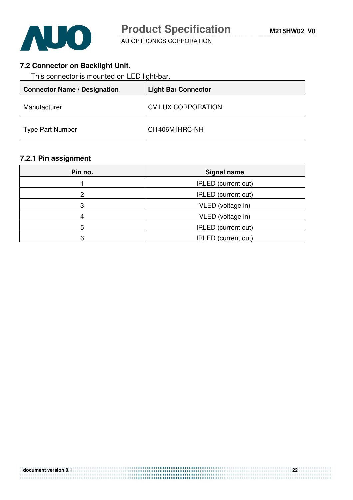![](_page_21_Picture_0.jpeg)

# **7.2 Connector on Backlight Unit.**

This connector is mounted on LED light-bar.

| <b>Connector Name / Designation</b> | <b>Light Bar Connector</b> |
|-------------------------------------|----------------------------|
| Manufacturer                        | <b>CVILUX CORPORATION</b>  |
| Type Part Number                    | CI1406M1HRC-NH             |

### **7.2.1 Pin assignment**

| Pin no. | <b>Signal name</b>         |
|---------|----------------------------|
|         | <b>IRLED</b> (current out) |
| 2       | <b>IRLED</b> (current out) |
| 3       | VLED (voltage in)          |
| 4       | VLED (voltage in)          |
| 5       | <b>IRLED</b> (current out) |
| 6       | IRLED (current out)        |

| document version 0.1 | 22 |
|----------------------|----|
|                      |    |
|                      |    |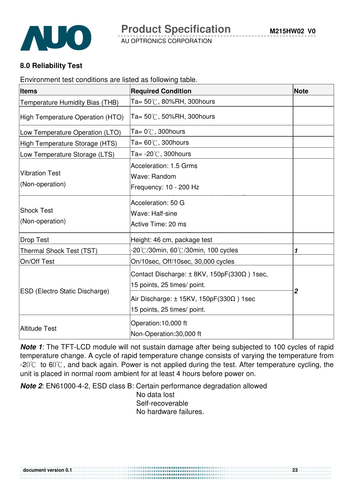![](_page_22_Picture_0.jpeg)

#### **8.0 Reliability Test**

Environment test conditions are listed as following table.

| <b>Items</b>                             | <b>Required Condition</b>                                                                    | Note |
|------------------------------------------|----------------------------------------------------------------------------------------------|------|
| Temperature Humidity Bias (THB)          | Ta= $50^{\circ}$ C, 80%RH, 300hours                                                          |      |
| High Temperature Operation (HTO)         | Ta= $50^{\circ}$ C, 50%RH, 300 hours                                                         |      |
| Low Temperature Operation (LTO)          | Ta= $0^{\circ}$ C, 300 hours                                                                 |      |
| High Temperature Storage (HTS)           | Ta= $60^{\circ}$ C, 300 hours                                                                |      |
| Low Temperature Storage (LTS)            | Ta= $-20^{\circ}$ C, 300 hours                                                               |      |
| <b>Vibration Test</b><br>(Non-operation) | Acceleration: 1.5 Grms<br>Wave: Random<br>Frequency: 10 - 200 Hz                             |      |
| <b>Shock Test</b><br>(Non-operation)     | Acceleration: 50 G<br>Wave: Half-sine<br>Active Time: 20 ms                                  |      |
| Drop Test                                | Height: 46 cm, package test                                                                  |      |
| Thermal Shock Test (TST)                 | $-20^{\circ}$ C/30min, 60 $^{\circ}$ C/30min, 100 cycles                                     | 1    |
| On/Off Test                              | On/10sec, Off/10sec, 30,000 cycles                                                           |      |
| <b>ESD (Electro Static Discharge)</b>    | Contact Discharge: $\pm$ 8KV, 150pF(330 $\Omega$ ) 1sec,<br>15 points, 25 times/ point.<br>2 |      |
|                                          | Air Discharge: $\pm$ 15KV, 150pF(330 $\Omega$ ) 1sec<br>15 points, 25 times/ point.          |      |
| Altitude Test                            | Operation:10,000 ft<br>Non-Operation:30,000 ft                                               |      |

**Note 1:** The TFT-LCD module will not sustain damage after being subjected to 100 cycles of rapid temperature change. A cycle of rapid temperature change consists of varying the temperature from  $-20^{\circ}$  to 60 $^{\circ}$ C, and back again. Power is not applied during the test. After temperature cycling, the unit is placed in normal room ambient for at least 4 hours before power on.

**Note 2**: EN61000-4-2, ESD class B: Certain performance degradation allowed

No data lost Self-recoverable No hardware failures.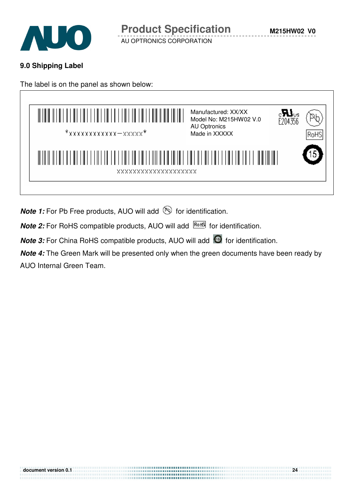![](_page_23_Picture_0.jpeg)

# **9.0 Shipping Label**

The label is on the panel as shown below:

| $*$ xxxxxxxxxxxx - xxxxx $*$                                                                                                                 | Manufactured: XX/XX<br>Model No: M215HW02 V.0<br>AU Optronics<br>Made in XXXXX | $_{0.204356}^{\circ}$<br>RoH |
|----------------------------------------------------------------------------------------------------------------------------------------------|--------------------------------------------------------------------------------|------------------------------|
| <u>MINI ATILITI ILI ILI TULLI ILI TELLI ILI TULLI ILI TELLI ILI TULLI TULLI TULLI TULLI TULLI ILI TELLI UNIMI ILI</u><br>xxxxxxxxxxxxxxxxxxx |                                                                                |                              |

**Note 1:** For Pb Free products, AUO will add **b** for identification.

**Note 2:** For RoHS compatible products, AUO will add **ROHS** for identification.

**Note 3:** For China RoHS compatible products, AUO will add **6** for identification.

**Note 4:** The Green Mark will be presented only when the green documents have been ready by AUO Internal Green Team.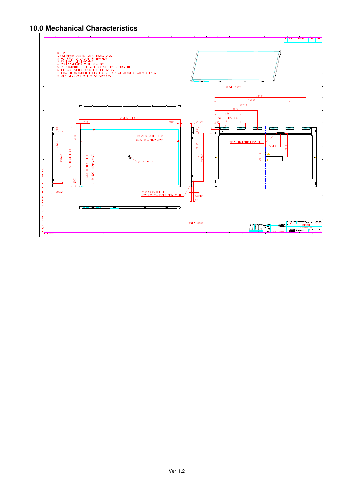### **10.0 Mechanical Characteristics**

![](_page_24_Figure_1.jpeg)